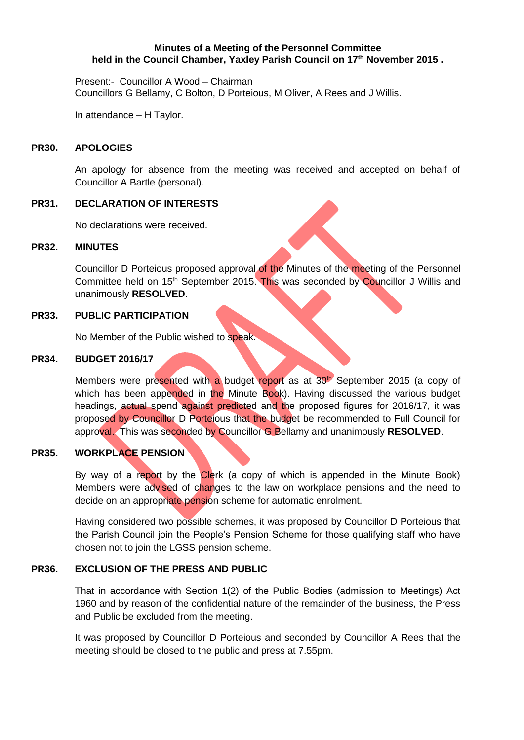#### **Minutes of a Meeting of the Personnel Committee held in the Council Chamber, Yaxley Parish Council on 17 th November 2015 .**

Present:- Councillor A Wood – Chairman Councillors G Bellamy, C Bolton, D Porteious, M Oliver, A Rees and J Willis.

In attendance – H Taylor.

#### **PR30. APOLOGIES**

An apology for absence from the meeting was received and accepted on behalf of Councillor A Bartle (personal).

### **PR31. DECLARATION OF INTERESTS**

No declarations were received.

#### **PR32. MINUTES**

Councillor D Porteious proposed approval of the Minutes of the meeting of the Personnel Committee held on 15<sup>th</sup> September 2015. This was seconded by Councillor J Willis and unanimously **RESOLVED.**

#### **PR33. PUBLIC PARTICIPATION**

No Member of the Public wished to speak.

### **PR34. BUDGET 2016/17**

Members were presented with a budget report as at 30<sup>th</sup> September 2015 (a copy of which has been appended in the Minute Book). Having discussed the various budget headings, actual spend against predicted and the proposed figures for 2016/17, it was proposed by Councillor D Porteious that the budget be recommended to Full Council for approval. This was seconded by Councillor G Bellamy and unanimously **RESOLVED**.

## **PR35. WORKPLACE PENSION**

By way of a report by the Clerk (a copy of which is appended in the Minute Book) Members were advised of changes to the law on workplace pensions and the need to decide on an appropriate pension scheme for automatic enrolment.

Having considered two possible schemes, it was proposed by Councillor D Porteious that the Parish Council join the People's Pension Scheme for those qualifying staff who have chosen not to join the LGSS pension scheme.

#### **PR36. EXCLUSION OF THE PRESS AND PUBLIC**

That in accordance with Section 1(2) of the Public Bodies (admission to Meetings) Act 1960 and by reason of the confidential nature of the remainder of the business, the Press and Public be excluded from the meeting.

It was proposed by Councillor D Porteious and seconded by Councillor A Rees that the meeting should be closed to the public and press at 7.55pm.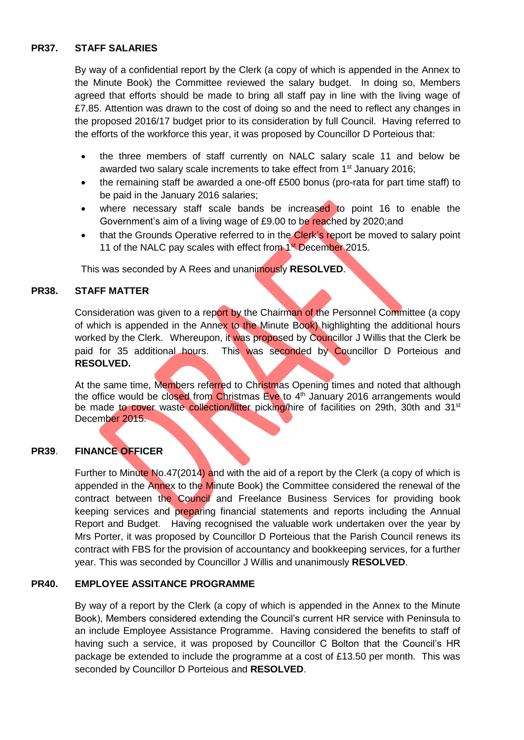# **PR37. STAFF SALARIES**

By way of a confidential report by the Clerk (a copy of which is appended in the Annex to the Minute Book) the Committee reviewed the salary budget. In doing so, Members agreed that efforts should be made to bring all staff pay in line with the living wage of £7.85. Attention was drawn to the cost of doing so and the need to reflect any changes in the proposed 2016/17 budget prior to its consideration by full Council. Having referred to the efforts of the workforce this year, it was proposed by Councillor D Porteious that:

- the three members of staff currently on NALC salary scale 11 and below be awarded two salary scale increments to take effect from 1<sup>st</sup> January 2016;
- the remaining staff be awarded a one-off £500 bonus (pro-rata for part time staff) to be paid in the January 2016 salaries;
- where necessary staff scale bands be increased to point 16 to enable the Government's aim of a living wage of £9.00 to be reached by 2020;and
- that the Grounds Operative referred to in the Clerk's report be moved to salary point 11 of the NALC pay scales with effect from 1<sup>st</sup> December 2015.

This was seconded by A Rees and unanimously **RESOLVED**.

## **PR38. STAFF MATTER**

Consideration was given to a report by the Chairman of the Personnel Committee (a copy of which is appended in the Annex to the Minute Book) highlighting the additional hours worked by the Clerk. Whereupon, it was proposed by Councillor J Willis that the Clerk be paid for 35 additional hours. This was seconded by Councillor D Porteious and **RESOLVED.**

At the same time, Members referred to Christmas Opening times and noted that although the office would be closed from Christmas Eve to 4<sup>th</sup> January 2016 arrangements would be made to cover waste collection/litter picking/hire of facilities on 29th, 30th and 31<sup>st</sup> December 2015.

# **PR39**. **FINANCE OFFICER**

Further to Minute No.47(2014) and with the aid of a report by the Clerk (a copy of which is appended in the Annex to the Minute Book) the Committee considered the renewal of the contract between the Council and Freelance Business Services for providing book keeping services and preparing financial statements and reports including the Annual Report and Budget. Having recognised the valuable work undertaken over the year by Mrs Porter, it was proposed by Councillor D Porteious that the Parish Council renews its contract with FBS for the provision of accountancy and bookkeeping services, for a further year. This was seconded by Councillor J Willis and unanimously **RESOLVED**.

## **PR40. EMPLOYEE ASSITANCE PROGRAMME**

By way of a report by the Clerk (a copy of which is appended in the Annex to the Minute Book), Members considered extending the Council's current HR service with Peninsula to an include Employee Assistance Programme. Having considered the benefits to staff of having such a service, it was proposed by Councillor C Bolton that the Council's HR package be extended to include the programme at a cost of £13.50 per month. This was seconded by Councillor D Porteious and **RESOLVED**.